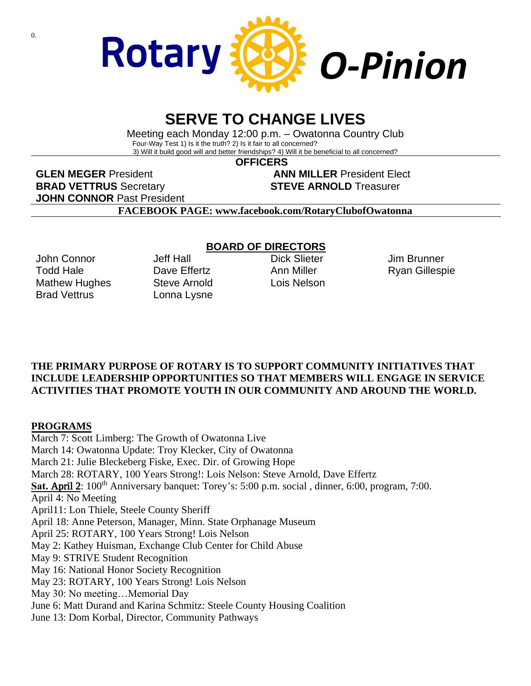

# **SERVE TO CHANGE LIVES**

Meeting each Monday 12:00 p.m. – Owatonna Country Club Four-Way Test 1) Is it the truth? 2) Is it fair to all concerned? 3) Will it build good will and better friendships? 4) Will it be beneficial to all concerned?

**OFFICERS**

**GLEN MEGER** President **ANN MILLER** President Elect **BRAD VETTRUS** Secretary **STEVE ARNOLD** Treasurer **JOHN CONNOR** Past President

**FACEBOOK PAGE: www.facebook.com/RotaryClubofOwatonna**

John Connor Todd Hale Mathew Hughes Brad Vettrus

Jeff Hall Dave Fffertz Steve Arnold Lonna Lysne

## **BOARD OF DIRECTORS**

Dick Slieter Ann Miller Lois Nelson

Jim Brunner Ryan Gillespie

## **THE PRIMARY PURPOSE OF ROTARY IS TO SUPPORT COMMUNITY INITIATIVES THAT INCLUDE LEADERSHIP OPPORTUNITIES SO THAT MEMBERS WILL ENGAGE IN SERVICE ACTIVITIES THAT PROMOTE YOUTH IN OUR COMMUNITY AND AROUND THE WORLD.**

## **PROGRAMS**

March 7: Scott Limberg: The Growth of Owatonna Live March 14: Owatonna Update: Troy Klecker, City of Owatonna March 21: Julie Bleckeberg Fiske, Exec. Dir. of Growing Hope March 28: ROTARY, 100 Years Strong!: Lois Nelson: Steve Arnold, Dave Effertz Sat. April 2: 100<sup>th</sup> Anniversary banquet: Torey's: 5:00 p.m. social, dinner, 6:00, program, 7:00. April 4: No Meeting April11: Lon Thiele, Steele County Sheriff April 18: Anne Peterson, Manager, Minn. State Orphanage Museum April 25: ROTARY, 100 Years Strong! Lois Nelson May 2: Kathey Huisman, Exchange Club Center for Child Abuse May 9: STRIVE Student Recognition May 16: National Honor Society Recognition May 23: ROTARY, 100 Years Strong! Lois Nelson May 30: No meeting…Memorial Day June 6: Matt Durand and Karina Schmitz: Steele County Housing Coalition June 13: Dom Korbal, Director, Community Pathways